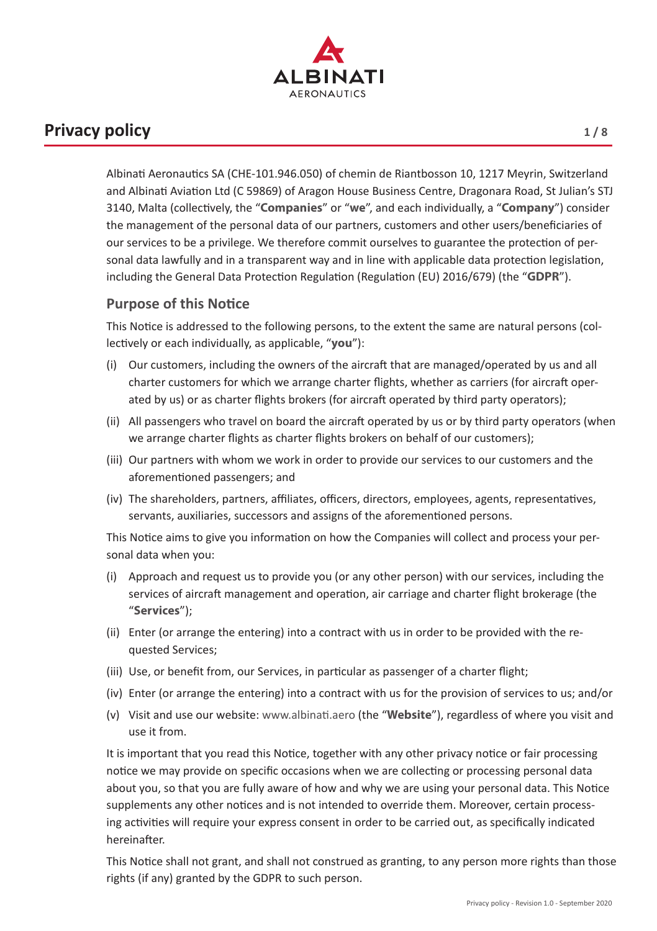

# **Privacy policy 1/8**

Albinati Aeronautics SA (CHE-101.946.050) of chemin de Riantbosson 10, 1217 Meyrin, Switzerland and Albinati Aviation Ltd (C 59869) of Aragon House Business Centre, Dragonara Road, St Julian's STJ 3140, Malta (collectively, the "**Companies**" or "**we**", and each individually, a "**Company**") consider the management of the personal data of our partners, customers and other users/beneficiaries of our services to be a privilege. We therefore commit ourselves to guarantee the protection of personal data lawfully and in a transparent way and in line with applicable data protection legislation, including the General Data Protection Regulation (Regulation (EU) 2016/679) (the "**GDPR**").

### **Purpose of this Notice**

This Notice is addressed to the following persons, to the extent the same are natural persons (collectively or each individually, as applicable, "**you**"):

- (i) Our customers, including the owners of the aircraft that are managed/operated by us and all charter customers for which we arrange charter flights, whether as carriers (for aircraft operated by us) or as charter flights brokers (for aircraft operated by third party operators);
- (ii) All passengers who travel on board the aircraft operated by us or by third party operators (when we arrange charter flights as charter flights brokers on behalf of our customers);
- (iii) Our partners with whom we work in order to provide our services to our customers and the aforementioned passengers; and
- (iv) The shareholders, partners, affiliates, officers, directors, employees, agents, representatives, servants, auxiliaries, successors and assigns of the aforementioned persons.

This Notice aims to give you information on how the Companies will collect and process your personal data when you:

- (i) Approach and request us to provide you (or any other person) with our services, including the services of aircraft management and operation, air carriage and charter flight brokerage (the "**Services**");
- (ii) Enter (or arrange the entering) into a contract with us in order to be provided with the requested Services;
- (iii) Use, or benefit from, our Services, in particular as passenger of a charter flight;
- (iv) Enter (or arrange the entering) into a contract with us for the provision of services to us; and/or
- (v) Visit and use our website: www.albinati.aero (the "**Website**"), regardless of where you visit and use it from.

It is important that you read this Notice, together with any other privacy notice or fair processing notice we may provide on specific occasions when we are collecting or processing personal data about you, so that you are fully aware of how and why we are using your personal data. This Notice supplements any other notices and is not intended to override them. Moreover, certain processing activities will require your express consent in order to be carried out, as specifically indicated hereinafter.

This Notice shall not grant, and shall not construed as granting, to any person more rights than those rights (if any) granted by the GDPR to such person.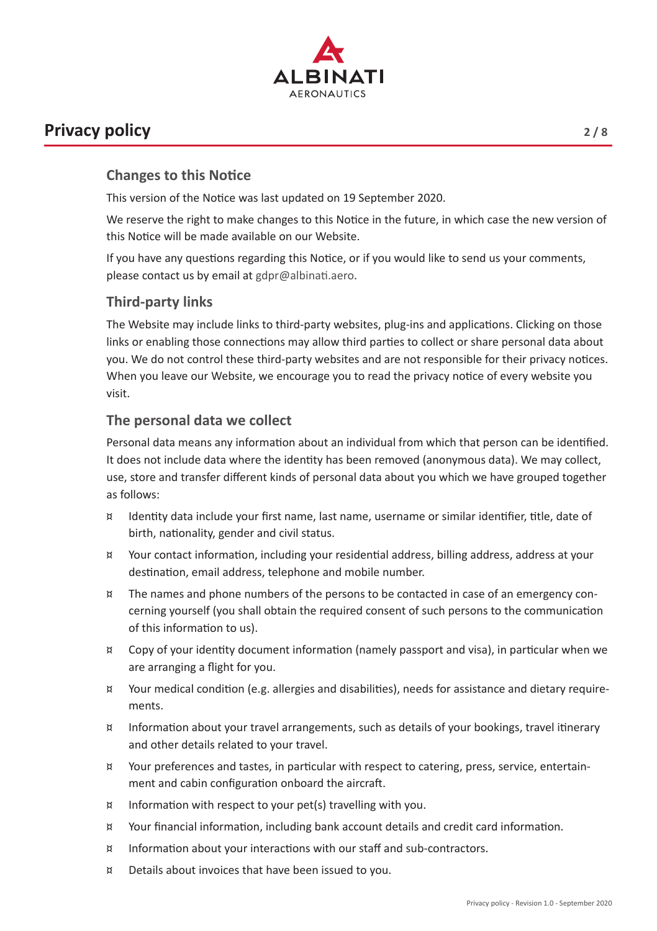

## **Privacy policy** 2/8

This version of the Notice was last updated on 19 September 2020.

We reserve the right to make changes to this Notice in the future, in which case the new version of this Notice will be made available on our Website.

If you have any questions regarding this Notice, or if you would like to send us your comments, please contact us by email at gdpr@albinati.aero.

### **Third-party links**

The Website may include links to third-party websites, plug-ins and applications. Clicking on those links or enabling those connections may allow third parties to collect or share personal data about you. We do not control these third-party websites and are not responsible for their privacy notices. When you leave our Website, we encourage you to read the privacy notice of every website you visit.

### **The personal data we collect**

Personal data means any information about an individual from which that person can be identified. It does not include data where the identity has been removed (anonymous data). We may collect, use, store and transfer different kinds of personal data about you which we have grouped together as follows:

- ¤ Identity data include your first name, last name, username or similar identifier, title, date of birth, nationality, gender and civil status.
- ¤ Your contact information, including your residential address, billing address, address at your destination, email address, telephone and mobile number.
- ¤ The names and phone numbers of the persons to be contacted in case of an emergency concerning yourself (you shall obtain the required consent of such persons to the communication of this information to us).
- ¤ Copy of your identity document information (namely passport and visa), in particular when we are arranging a flight for you.
- ¤ Your medical condition (e.g. allergies and disabilities), needs for assistance and dietary requirements.
- ¤ Information about your travel arrangements, such as details of your bookings, travel itinerary and other details related to your travel.
- ¤ Your preferences and tastes, in particular with respect to catering, press, service, entertainment and cabin configuration onboard the aircraft.
- ¤ Information with respect to your pet(s) travelling with you.
- ¤ Your financial information, including bank account details and credit card information.
- ¤ Information about your interactions with our staff and sub-contractors.
- ¤ Details about invoices that have been issued to you.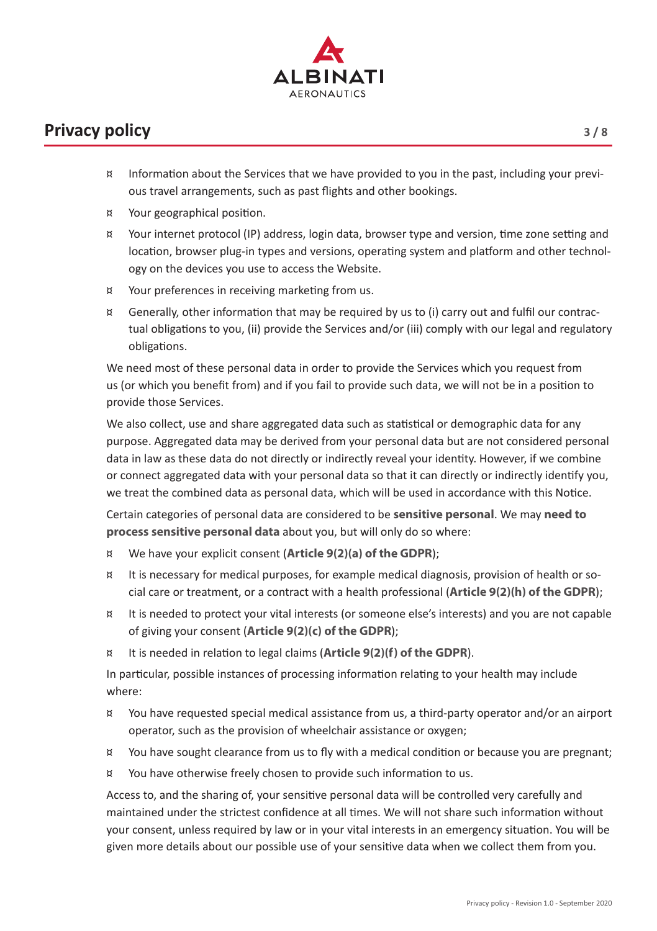

- ¤ Information about the Services that we have provided to you in the past, including your previous travel arrangements, such as past flights and other bookings.
- ¤ Your geographical position.
- ¤ Your internet protocol (IP) address, login data, browser type and version, time zone setting and location, browser plug-in types and versions, operating system and platform and other technology on the devices you use to access the Website.
- ¤ Your preferences in receiving marketing from us.
- ¤ Generally, other information that may be required by us to (i) carry out and fulfil our contractual obligations to you, (ii) provide the Services and/or (iii) comply with our legal and regulatory obligations.

We need most of these personal data in order to provide the Services which you request from us (or which you benefit from) and if you fail to provide such data, we will not be in a position to provide those Services.

We also collect, use and share aggregated data such as statistical or demographic data for any purpose. Aggregated data may be derived from your personal data but are not considered personal data in law as these data do not directly or indirectly reveal your identity. However, if we combine or connect aggregated data with your personal data so that it can directly or indirectly identify you, we treat the combined data as personal data, which will be used in accordance with this Notice.

Certain categories of personal data are considered to be **sensitive personal**. We may **need to process sensitive personal data** about you, but will only do so where:

- ¤ We have your explicit consent (**Article 9(2)(a) of the GDPR**);
- ¤ It is necessary for medical purposes, for example medical diagnosis, provision of health or social care or treatment, or a contract with a health professional (**Article 9(2)(h) of the GDPR**);
- ¤ It is needed to protect your vital interests (or someone else's interests) and you are not capable of giving your consent (**Article 9(2)(c) of the GDPR**);
- ¤ It is needed in relation to legal claims (**Article 9(2)(f) of the GDPR**).

In particular, possible instances of processing information relating to your health may include where:

- ¤ You have requested special medical assistance from us, a third-party operator and/or an airport operator, such as the provision of wheelchair assistance or oxygen;
- ¤ You have sought clearance from us to fly with a medical condition or because you are pregnant;
- ¤ You have otherwise freely chosen to provide such information to us.

Access to, and the sharing of, your sensitive personal data will be controlled very carefully and maintained under the strictest confidence at all times. We will not share such information without your consent, unless required by law or in your vital interests in an emergency situation. You will be given more details about our possible use of your sensitive data when we collect them from you.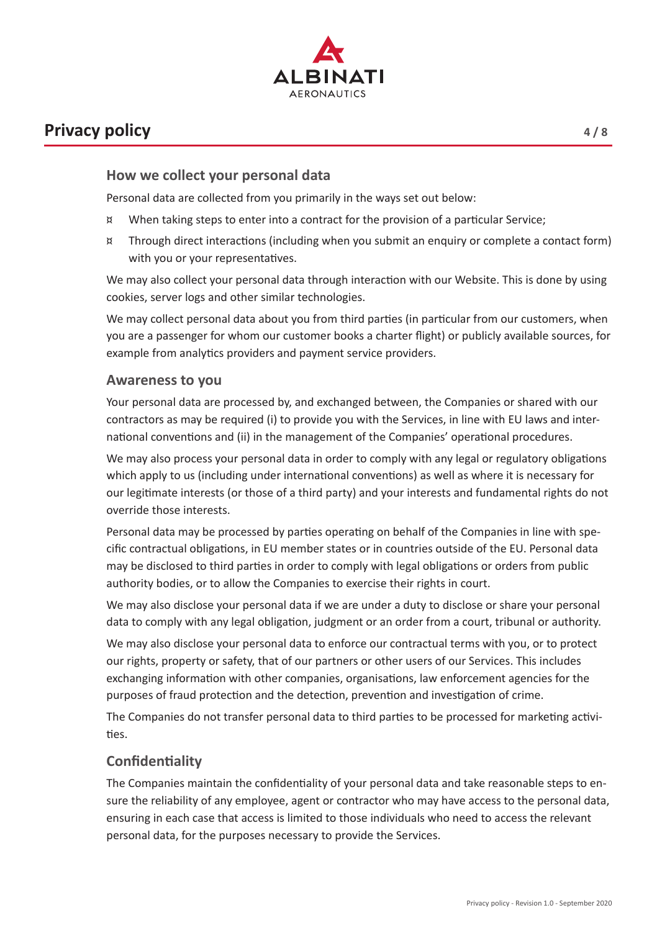

# **Privacy policy 4/8**

Personal data are collected from you primarily in the ways set out below:

- ¤ When taking steps to enter into a contract for the provision of a particular Service;
- ¤ Through direct interactions (including when you submit an enquiry or complete a contact form) with you or your representatives.

We may also collect your personal data through interaction with our Website. This is done by using cookies, server logs and other similar technologies.

We may collect personal data about you from third parties (in particular from our customers, when you are a passenger for whom our customer books a charter flight) or publicly available sources, for example from analytics providers and payment service providers.

#### **Awareness to you**

Your personal data are processed by, and exchanged between, the Companies or shared with our contractors as may be required (i) to provide you with the Services, in line with EU laws and international conventions and (ii) in the management of the Companies' operational procedures.

We may also process your personal data in order to comply with any legal or regulatory obligations which apply to us (including under international conventions) as well as where it is necessary for our legitimate interests (or those of a third party) and your interests and fundamental rights do not override those interests.

Personal data may be processed by parties operating on behalf of the Companies in line with specific contractual obligations, in EU member states or in countries outside of the EU. Personal data may be disclosed to third parties in order to comply with legal obligations or orders from public authority bodies, or to allow the Companies to exercise their rights in court.

We may also disclose your personal data if we are under a duty to disclose or share your personal data to comply with any legal obligation, judgment or an order from a court, tribunal or authority.

We may also disclose your personal data to enforce our contractual terms with you, or to protect our rights, property or safety, that of our partners or other users of our Services. This includes exchanging information with other companies, organisations, law enforcement agencies for the purposes of fraud protection and the detection, prevention and investigation of crime.

The Companies do not transfer personal data to third parties to be processed for marketing activities.

### **Confidentiality**

The Companies maintain the confidentiality of your personal data and take reasonable steps to ensure the reliability of any employee, agent or contractor who may have access to the personal data, ensuring in each case that access is limited to those individuals who need to access the relevant personal data, for the purposes necessary to provide the Services.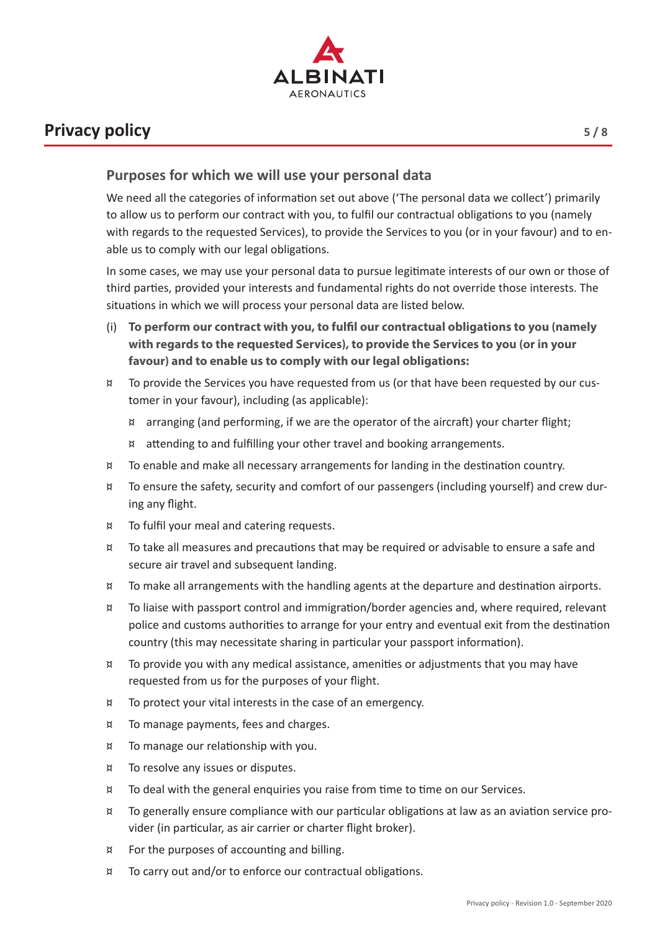

# **Privacy policy 5/8**

We need all the categories of information set out above ('The personal data we collect') primarily to allow us to perform our contract with you, to fulfil our contractual obligations to you (namely with regards to the requested Services), to provide the Services to you (or in your favour) and to enable us to comply with our legal obligations.

In some cases, we may use your personal data to pursue legitimate interests of our own or those of third parties, provided your interests and fundamental rights do not override those interests. The situations in which we will process your personal data are listed below.

- (i) **To perform our contract with you, to fulfil our contractual obligations to you (namely with regards to the requested Services), to provide the Services to you (or in your favour) and to enable us to comply with our legal obligations:**
- ¤ To provide the Services you have requested from us (or that have been requested by our customer in your favour), including (as applicable):
	- ¤ arranging (and performing, if we are the operator of the aircraft) your charter flight;
	- ¤ attending to and fulfilling your other travel and booking arrangements.
- ¤ To enable and make all necessary arrangements for landing in the destination country.
- ¤ To ensure the safety, security and comfort of our passengers (including yourself) and crew during any flight.
- ¤ To fulfil your meal and catering requests.
- ¤ To take all measures and precautions that may be required or advisable to ensure a safe and secure air travel and subsequent landing.
- ¤ To make all arrangements with the handling agents at the departure and destination airports.
- ¤ To liaise with passport control and immigration/border agencies and, where required, relevant police and customs authorities to arrange for your entry and eventual exit from the destination country (this may necessitate sharing in particular your passport information).
- ¤ To provide you with any medical assistance, amenities or adjustments that you may have requested from us for the purposes of your flight.
- ¤ To protect your vital interests in the case of an emergency.
- ¤ To manage payments, fees and charges.
- ¤ To manage our relationship with you.
- ¤ To resolve any issues or disputes.
- ¤ To deal with the general enquiries you raise from time to time on our Services.
- ¤ To generally ensure compliance with our particular obligations at law as an aviation service provider (in particular, as air carrier or charter flight broker).
- ¤ For the purposes of accounting and billing.
- ¤ To carry out and/or to enforce our contractual obligations.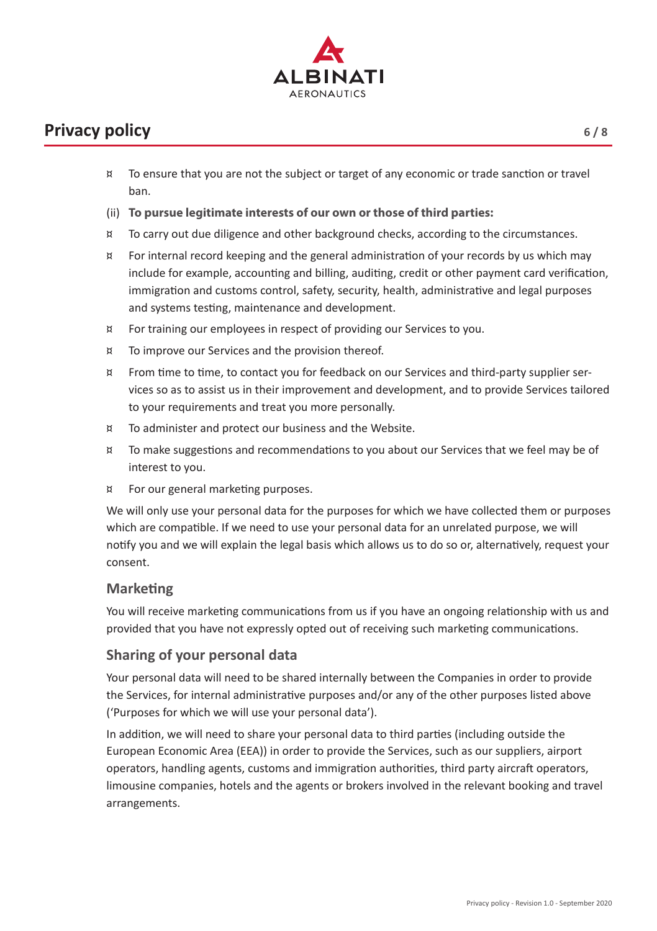

# **Privacy policy** 6/8

- ¤ To ensure that you are not the subject or target of any economic or trade sanction or travel ban.
- (ii) **To pursue legitimate interests of our own or those of third parties:**
- ¤ To carry out due diligence and other background checks, according to the circumstances.
- ¤ For internal record keeping and the general administration of your records by us which may include for example, accounting and billing, auditing, credit or other payment card verification, immigration and customs control, safety, security, health, administrative and legal purposes and systems testing, maintenance and development.
- ¤ For training our employees in respect of providing our Services to you.
- ¤ To improve our Services and the provision thereof.
- ¤ From time to time, to contact you for feedback on our Services and third-party supplier services so as to assist us in their improvement and development, and to provide Services tailored to your requirements and treat you more personally.
- ¤ To administer and protect our business and the Website.
- ¤ To make suggestions and recommendations to you about our Services that we feel may be of interest to you.
- ¤ For our general marketing purposes.

We will only use your personal data for the purposes for which we have collected them or purposes which are compatible. If we need to use your personal data for an unrelated purpose, we will notify you and we will explain the legal basis which allows us to do so or, alternatively, request your consent.

### **Marketing**

You will receive marketing communications from us if you have an ongoing relationship with us and provided that you have not expressly opted out of receiving such marketing communications.

### **Sharing of your personal data**

Your personal data will need to be shared internally between the Companies in order to provide the Services, for internal administrative purposes and/or any of the other purposes listed above ('Purposes for which we will use your personal data').

In addition, we will need to share your personal data to third parties (including outside the European Economic Area (EEA)) in order to provide the Services, such as our suppliers, airport operators, handling agents, customs and immigration authorities, third party aircraft operators, limousine companies, hotels and the agents or brokers involved in the relevant booking and travel arrangements.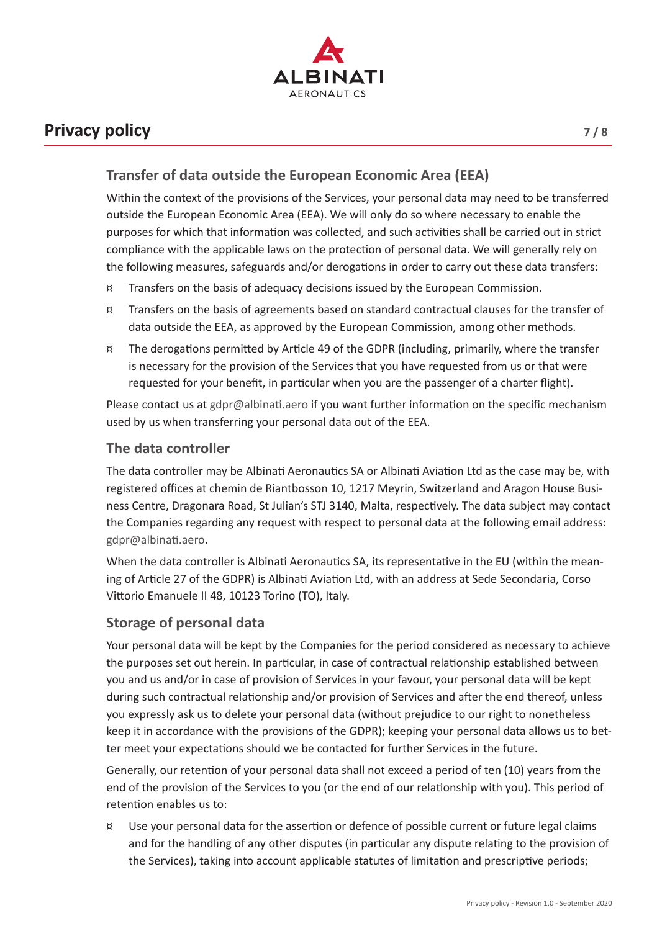

# **Privacy policy** *7/8*

Within the context of the provisions of the Services, your personal data may need to be transferred outside the European Economic Area (EEA). We will only do so where necessary to enable the purposes for which that information was collected, and such activities shall be carried out in strict compliance with the applicable laws on the protection of personal data. We will generally rely on the following measures, safeguards and/or derogations in order to carry out these data transfers:

- ¤ Transfers on the basis of adequacy decisions issued by the European Commission.
- ¤ Transfers on the basis of agreements based on standard contractual clauses for the transfer of data outside the EEA, as approved by the European Commission, among other methods.
- ¤ The derogations permitted by Article 49 of the GDPR (including, primarily, where the transfer is necessary for the provision of the Services that you have requested from us or that were requested for your benefit, in particular when you are the passenger of a charter flight).

Please contact us at gdpr@albinati.aero if you want further information on the specific mechanism used by us when transferring your personal data out of the EEA.

### **The data controller**

The data controller may be Albinati Aeronautics SA or Albinati Aviation Ltd as the case may be, with registered offices at chemin de Riantbosson 10, 1217 Meyrin, Switzerland and Aragon House Business Centre, Dragonara Road, St Julian's STJ 3140, Malta, respectively. The data subject may contact the Companies regarding any request with respect to personal data at the following email address: gdpr@albinati.aero.

When the data controller is Albinati Aeronautics SA, its representative in the EU (within the meaning of Article 27 of the GDPR) is Albinati Aviation Ltd, with an address at Sede Secondaria, Corso Vittorio Emanuele II 48, 10123 Torino (TO), Italy.

### **Storage of personal data**

Your personal data will be kept by the Companies for the period considered as necessary to achieve the purposes set out herein. In particular, in case of contractual relationship established between you and us and/or in case of provision of Services in your favour, your personal data will be kept during such contractual relationship and/or provision of Services and after the end thereof, unless you expressly ask us to delete your personal data (without prejudice to our right to nonetheless keep it in accordance with the provisions of the GDPR); keeping your personal data allows us to better meet your expectations should we be contacted for further Services in the future.

Generally, our retention of your personal data shall not exceed a period of ten (10) years from the end of the provision of the Services to you (or the end of our relationship with you). This period of retention enables us to:

¤ Use your personal data for the assertion or defence of possible current or future legal claims and for the handling of any other disputes (in particular any dispute relating to the provision of the Services), taking into account applicable statutes of limitation and prescriptive periods;